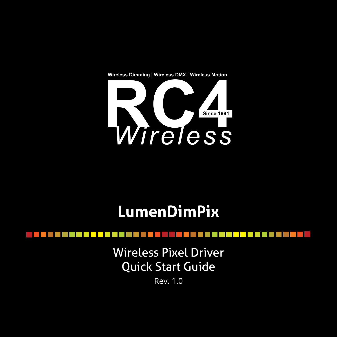



# **LumenDimPix**

Wireless Pixel Driver Quick Start Guide

Rev. 1.0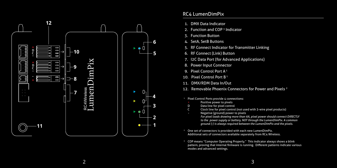

# RC4 LumenDimPix

- 1. DMX Data Indicator
- 2. Function and COP<sup>3</sup> Indicator
- 3. Function Button
- 4. SetA, SetB Buttons
- 5. RF Connect Indicator for Transmitter Linking
- 6. RF Connect (Link) Button
- 7. I2C Data Port (for Advanced Applications)
- 8. Power Input Connector
- 9. Pixel Control Port A<sup>1</sup>
- 10. Pixel Control Port B<sup>1</sup>
- 11. DMX/RDM Data In/Out
- 12. Removable Phoenix Connectors for Power and Pixels 2
- <sup>1</sup> Pixel Control Ports provide 4 connections:
	- + Positive power to pixels
	- D Data line for pixel control<br>C Clock line for pixel control
	- Clock line for pixel control (not used with 3-wire pixel products)
		- Negative (ground) power to pixels *For pixel loads drawing more than 6A, pixel power should connect DIRECTLY to the power supply or battery, NOT through the LumenDimPix. A common ground (-) is always required between the LumenDimPix and the pixels.*
- <sup>2</sup> One set of connectors is provided with each new LumenDimPix. Additional sets of connectors available separately from RC4 WIreless.
- <sup>3</sup> COP means "Computer Operating Properly." This indicator always shows a blink pattern, proving that internal firmware is running. Different patterns indicate various modes and advanced settings.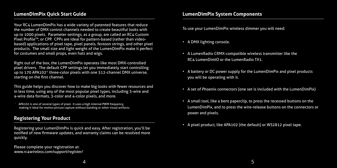Your RC4 LumenDimPix has a wide variety of patented features that reduce the number of DMX control channels needed to create beautiful looks with up to 1000 pixels. Parameter settings, as a group, are called an RC4 Custom Pixel Profile™, or CPP. CPPs are ideal for pattern-based (rather than videobased) applications of pixel tape, pixel panels, festoon strings, and other pixel products. The small size and light weight of the LumenDimPix make it perfect for costumes and small props, even hats and wigs.

Right out of the box, the LumenDimPix operates like most DMX-controlled pixel drivers. The default CPP settings let you immediately start controlling up to 170 APA102\* three-color pixels with one 512-channel DMX universe, starting on the first channel.

This guide helps you discover how to make big looks with fewer resources and in less time, using any of the most popular pixel types, including 3-wire and 4-wire data formats, 3-color and 4-color pixels, and more.

APA102 is one of several types of pixel. It uses a high internal PWM frequency, making it ideal for motion picture capture without banding or other visual artifacts.

# **Registering Your Product**

Registering your LumenDimPix is quick and easy. After registration, you'll be notified of new firmware updates, and warranty claims can be resolved more quickly.

Please complete your registration at: *www.rc4wireless.com/support/register/* To use your LumenDimPix wireless dimmer you will need:

- A DMX lighting console.
- A LumenRadio CRMX-compatible wireless transmitter like the RC4 LumenDimIO or the LumenRadio TX1.
- A battery or DC power supply for the LumenDimPix and pixel products you will be operating with it.
- A set of Phoenix connectors (one set is included with the LumenDimPix)
- A small tool, like a bent paperclip, to press the recessed buttons on the LumenDimPix, and to press the wire-release buttons on the connectors or power and pixels.
- A pixel product, like APA102 (the default) or WS2812 pixel tape.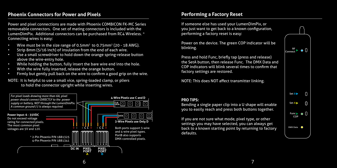# **Phoenix Connectors for Power and Pixels**

Power and pixel connections are made with Phoenix COMBICON FK-MC Series removeable connectors. One set of mating connectors is included with the LumenDimPix. Additional connectors can be purchased from RC4 Wireless. \* Connecting wires is easy:

- Wire must be in the size range of 0.5mm2 to 0.75mm2 (20 18 AWG).
- Strip 8mm (5/16 inch) of insulation from the end of each wire.
- Use a small screwdriver to hold down the orange spring-release button above the wire-entry hole.
- While holding the button, fully insert the bare wire end into the hole.
- With the wire fully inserted, release the orange button.
- Firmly but gently pull back on the wire to confirm a good grip on the wire.

NOTE: It is helpful to use a small vice, spring-loaded clamp, or pliers to hold the connector upright while inserting wires.



# **Title Performing a Factory Reset**

you just want to get back to a known configuration, If someone else has used your LumenDimPix, or performing a factory reset is easy:

Power on the device. The green COP indicator will be blinking.

Press and hold Func, briefly tap (press and release) the SetA button, then release Func. The DMX Data and COP indicators will blink several times to confirm that factory settings are restored.

NOTE: This does NOT affect transmitter linking.

### **PRO TIPS:**

Bending a single paper clip into a U shape will enable you to easily reach and press both buttons together.

If you are not sure what mode, pixel type, or other settings you may have selected, you can always get back to a known starting point by returning to factory defaults.

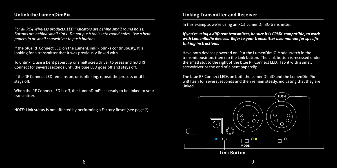# **Unlink the LumenDimPix**

For all RC4 Wireless products, LED indicators are behind small round holes. *Buttons are behind small slots. Do not push tools into round holes. Use a bent paperclip or small screwdriver to push buttons.*

If the blue RF Connect LED on the LumenDimPix blinks continuously, it is looking for a transmitter that it was previously linked with.

To unlink it, use a bent paperclip or small screwdriver to press and hold RF Connect for several seconds until the blue LED goes off and stays off.

If the RF Connect LED remains on, or is blinking, repeat the process until it stays off.

When the RF Connect LED is off, the LumenDimPix is ready to be linked to your transmitter.

NOTE: Link status is not affected by performing a Factory Reset (see page 7).

# **Linking Transmitter and Receiver**

In this example, we're using an RC4 LumenDimIO transmitter.

*If you're using a different transmitter, be sure it is CRMX-compatible, to work with LumenRadio devices. Refer to your transmitter user manual for specific linking instructions.*

Have both devices powered on. Put the LumenDimIO Mode switch in the transmit position, then tap the Link button. The Link button is recessed under the small slot to the right of the blue RF Connect LED. Tap it with a small screwdriver or the end of a bent paperclip.

The blue RF Connect LEDs on both the LumenDimIO and the LumenDimPix will flash for several seconds and then remain steady, indicating that they are linked.

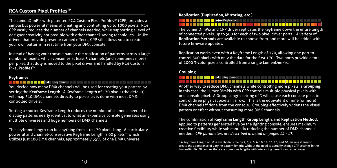# **RC4 Custom Pixel ProfilesTM**

The LumenDimPix with patented RC4 Custom Pixel Profiles™ (CPP) provides a simple but powerful means of creating and controlling up to 1000 pixels. RC4 CPP vastly reduces the number of channels needed, while supporting a level of designer creativity not possible with other channel-saving techniques. Unlike drivers that provide preset or canned effects, CPP still allows you to create your own patterns in real time from your DMX console.

Instead of having your console handle the replication of patterns across a large number of pixels, which consumes at least 3 channels (and sometimes more) per pixel, that duty is moved to the pixel driver and handled by RC4 Custom Pixel ProfilesTM.

## **Keyframes**

#### **Keyframe Keyframe Keyframe**

You decide how many DMX channels will be used for creating your pattern by setting the **Keyframe Length**. A Keyframe Length of 170 pixels (the default) will map 510 DMX channels directly to pixels, as is done with most DMXcontrolled drivers.

Setting a shorter Keyframe Length reduces the number of channels needed to display patterns nearly identical to what an expensive console generates using multiple universes and huge numbers of DMX channels.

The keyframe length can be anything from 1 to 170 pixels long. A particularly powerful and channel-conservative Keyframe Length is 60 pixels\*, which utilizes just 180 DMX channels, approximately 35% of one DMX universe.

## **Replication (Duplication, Mirroring, etc.)**



The LumenDimPix and CPP driver replicates the keyframe down the entire length of connected pixels, up to 500 for each of two pixel driver ports. A variety of **Replication Methods** are available to choose from, and more will be added with future firmware updates.

Replication works even with a Keyframe Length of 170, allowing one port to control 500 pixels with only the data for the first 170. Two ports provide a total of 1000 3-color pixels controlled from a single LumenDimPix.

## **Grouping**

# $\leftarrow$  Keyframe

Another way to reduce DMX channels while controlling more pixels is **Grouping**. In this case, the LumenDimPix with CPP controls multiple physical pixels with one console pixel. A Group Length setting of 3 will cause each console pixel to control three physical pixels in a row. This is the equivalent of nine (or more) DMX channels if done from the console. Grouping effectively widens the visual pattern or effect without consuming more DMX channels.

The combination of **Keyframe Length**, **Group Length**, and **Replication Method,** applied to patterns generated live by the lighting console, ensures maximum creative flexibility while substantially reducing the number of DMX channels needed. *CPP parameters are described in detail on pages 14 - 17.*

\* A Keyframe Length of 60 is evenly divisible by 2, 3, 4, 5, 6, 10, 12, 15, 20, and 30, making it easy to create the appearance of varying pattern lengths without the need to actually change CPP settings in the LumenDimPix. Of course, there are numerous lengths with interesting benefits and advantages.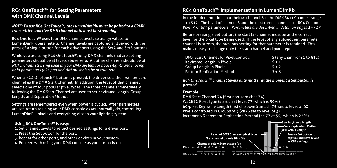# **RC4 OneTouchTM for Setting Parameters with DMX Channel Levels**

## *NOTE: To use RC4 OneTouchTM, the LumenDimPix must be paired to a CRMX transmitter, and live DMX channel data must be streaming.*

RC4 OneTouch™ uses four DMX channel levels to assign values to LumenDimPix parameters. Channel levels are captured and saved with the press of a single button for each driver port using the SetA and SetB buttons.

While you are using RC4 OneTouch™, only DMX channels that are setting parameters should be at levels above zero. All other channels should be off. *NOTE: Channels being used in your DMX system for house-lights and moving light parameters (like pan and tilt) must also be at true zero.*

When a RC4 OneTouch<sup>™</sup> button is pressed, the driver sets the first non-zero channel as the DMX Start Channel. In addition, the level of that channel selects one of four popular pixel types. The three channels immediately following the DMX Start Channel are used to set Keyframe Length, Group Length, and Replication Method.

Settings are remembered even when power is cycled. After parameters are set, return to using your DMX console as you normally do, controlling LumenDimPix pixels and everything else in your lighting system.

## **Using RC4 OneTouch™ is easy:**

- 1. Set channel levels to reflect desired settings for a driver port.
- 2. Press the Set button for the port.
- 3. Repeat for other ports, and other devices in your system.
- 4. Proceed with using your DMX console as you normally do.

# **RC4 OneTouchTM Implementation in LumenDimPix**

In the implementation chart below, channel S is the DMX Start Channel, range 1 to 512. The level of channel S and the next three channels set RC4 Custom Pixel Profile™ parameters. Parameters are described in detail on pages 14 - 17.

Before pressing a Set button, the start (S) channel must be at the correct level for the pixel type being used. If the level of any subsequent parameter channel is at zero, the previous setting for that parameter is retained. This makes it easy to change only the start channel and pixel type.

| <b>DMX Start Channel for Pixel Control:</b> | S (any chan from 1 to 512) |
|---------------------------------------------|----------------------------|
| Keyframe Length in Pixels:                  | $S + 1$                    |
| Group Length in Pixels:                     | $S + 2$                    |
| Pattern Replication Method:                 | $5 + 3$                    |

*RC4 OneTouchTM channel levels only matter at the moment a Set button is pressed.* 

## **Example:**

DMX Start Channel 74 (first non-zero ch is 74) WS2812 Pixel Type (start ch at level 77, which is 30%) 60-pixel Keyframe Length (first ch above Start, ch 75, set to level of 60) Pixels controlled in Groups of 3 (ch76 set to level of 3) Increment/Decrement Replication Method (ch 77 at 55, which is 22%)

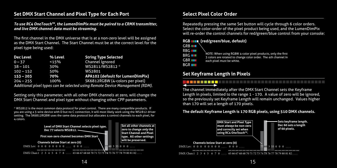# **Set DMX Start Channel and Pixel Type for Each Port**

*To use RC4 OneTouchTM, the LumenDimPix must be paired to a CRMX transmitter, and live DMX channel data must be streaming.*

The first channel in the DMX universe that is at a non-zero level will be assigned as the DMX Start Channel. The Start Channel must be at the correct level for the pixel type being used:

| Dec Level   | % Level | <b>String Type Selected</b>                                                  |
|-------------|---------|------------------------------------------------------------------------------|
| $0 - 37$    | 15%     | Channel Ignored                                                              |
| $38 - 101$  | 30%     | WS2811/WS2812 *                                                              |
| $102 - 152$ | 50%     | WS2801                                                                       |
| $153 - 203$ | 70%     | APA102 (default for LumenDimPix)                                             |
| $204 - 255$ | 100%    | SK6812RGBW (4-colors per pixel)                                              |
|             |         | Additional pixel types can be selected using Remote Device Management (RDM). |

Setting only this parameter, with all other DMX channels at zero, will change the DMX Start Channel and pixel type without changing other CPP parameters.

\* WS2812 is the most common data protocol for pixel control. There are many compatible products. If you are using a 3-wire device with D but no C connection, it will most likely work using the WS2812 driver setting. The SK6812RGBW uses the same data protocol but allocates 4 control channels to each pixel, for 4 colors.



# **Select Pixel Color Order**

Select the color-order of the pixel product being used, and the LumenDimPix Repeatedly pressing the same Set button will cycle through 6 color orders. will re-order the control channels for red/green/blue control from your console:

## **RGB (red/green/blue, default)**

GRB<sub>II</sub> RBG **II** BRG **THE** GBR<sub>III</sub> BGR<sub>III</sub>

NOTE: When using RGBW 4-color pixel products, only the first 3 colors are rotated to change color order. The 4th channel in each pixel must be white.

# **Set Keyframe Length in Pixels**

The channel immediately after the DMX Start Channel sets the Keyframe Length in pixels, limited to the range 1 - 170. A value of zero will be ignored, so the previously set Keyframe Length will remain unchanged. Values higher than 170 will set a length of 170 pixels.

## **The default Keyframe Length is 170 RGB pixels, using 510 DMX channels.**

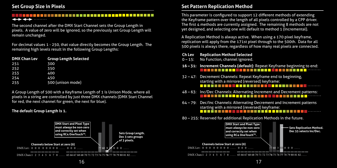## **Title** ← ← ←

pixels. A value of zero will be ignored, so the previously set Group Length will The second channel after the DMX Start Channel sets the Group Length in remain unchanged.

For decimal values 1 - 250, that value directly becomes the Group Length. The remaining high levels result in the following Group Lengths:

| <b>DMX Chan Lev</b> | <b>Group Length Selected</b> |
|---------------------|------------------------------|
| 251                 | 300                          |
| 252                 | 350                          |
| 253                 | 400                          |
| 254                 | 450                          |
| 255                 | 500 (unison mode)            |

A Group Length of 500 with a Keyframe Length of 1 is Unison Mode, where all pixels in a string are controlled by just three DMX channels (DMX Start Channel for red, the next channel for green, the next for blue).

# **The default Group Length is 1.**



# **Set Pattern Replication Method**

This parameter is configured to support 12 different methods of extending yet designed, and selecting one will default to method 1 (Incremental). the Keyframe pattern over the length of all pixels controlled by a CPP driver. The first 4 methods are currently assigned. The remaining 8 methods are not

A Replication Method is always active. When using a 170 pixel keyframe, replication will apply from the 171st pixel through to the 500th. Data for all 500 pixels is always there, regardless of how many real pixels are connected.

- **Ch Lev Replication Method Selected**
- 0 15: No Function, channel ignored.
- **16 31: Increment Channels (default)**: Repeat Keyframe beginning to end:
- 32 47: Decrement Channels: Repeat Keyframe end to beginning, starting with a mirrored (reversed) keyframe:
- 48 63: Inc/Dec Channels: Alternating Increment and Decrement patterns:
- 64 79: Dec/Inc Channels: Alternating Decrement and Increment patterns starting with a mirrored (reversed) keyframe: . . . . . . . . . .
- 80 255: Reserved for additional Replication Methods in the future.

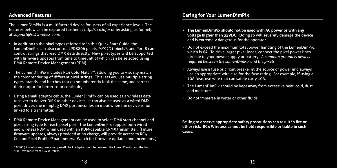# **Title Advanced Features**

features below can be explored further at *http://rc4.info/* or by asking us for help The LumenDimPix is a multifaceted device for users of all experience levels. The at *support@rc4wireless.com*:

- In addition to the pixel types referred to in this Quick Start Guide, the LumenDimPix can also control LPD8806 pixels, MY9231 pixels\*, and Port B can control strings that read DMX data directly. New pixel types will be supported with firmware updates from time to time, all of which can be selected using DMX Remote Device Management (RDM).
- The LumenDimPix includes RC4 ColorMatch<sup>TM</sup>, allowing you to visually match the color rendering of different pixel strings. This lets you use multiple string types, brands, and batches that do not inherently look the same, and correct their output for better color continuity.
- Using a small adaptor cable, the LumenDimPix can be used as a wireless data receiver to deliver DMX to other devices. It can also be used as a wired DMX pixel driver: the miniplug DMX port becomes an input when the device is not linked to a transmitter.
- DMX Remote Device Management can be used to select DMX start channel and pixel string type for each pixel port. The LumenDimPix support both wired and wireless RDM when used with an RDM-capable CRMX transmitter. (Future firmware updates, always provided at no charge, will provide access to RC4 Custom Pixel Profile™ parameters. Watch for firmware update announcements.)

\* MY9231 control requires a very small clock adaptor module between the LumenDimPix and the first pixel, available from RC4 Wireless.

# **Title Caring for Your LumenDimPix**

- The LumenDimPix should not be used with AC power or with any **voltage higher than 35VDC.** Doing so will severely damage the device and is extremely dangerous for the operator.
- Do not exceed the maximum total power handling of the LumenDimPix, which is 6A. To drive larger pixel loads, connect the pixel power lines directly to your power supply or battery. *A common ground is always required between the LumenDimPix and the pixels.*
- Always use a fuse or circuit breaker at the source of power and always use an appropriate wire size for the fuse rating. For example, if using a 10A fuse, use wire that can safely carry 10A.
- The LumenDimPix should be kept away from excessive heat, cold, dust and moisture.
- Do not immerse in water or other fluids.

**Failing to observe appropriate safety precautions can result in fire or other risk. RC4 Wireless cannot be held responsible or liable in such cases.**